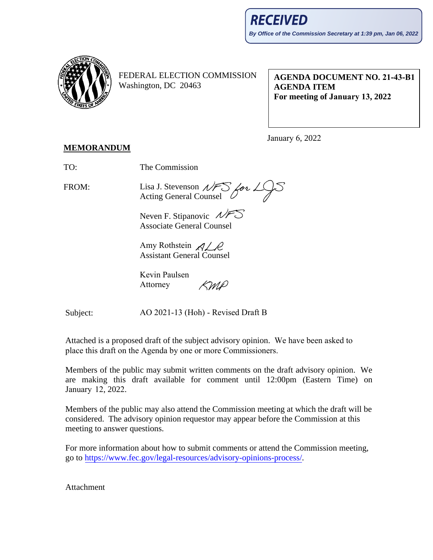

FEDERAL ELECTION COMMISSION Washington, DC 20463

**AGENDA DOCUMENT NO. 21-43-B1 AGENDA ITEM For meeting of January 13, 2022**

January 6, 2022

## **MEMORANDUM**

TO: The Commission

FROM:

Lisa J. Stevenson Acting General Counsel

Neven F. Stipanovic  $\mathcal{N}$ F Associate General Counsel

Amy Rothstein  $\mathcal{A}\mathcal{L}\mathcal{L}$ Assistant General Counsel

Kevin Paulsen KMP Attorney

Subject:

AO 2021-13 (Hoh) - Revised Draft B

Attached is a proposed draft of the subject advisory opinion. We have been asked to place this draft on the Agenda by one or more Commissioners.

Members of the public may submit written comments on the draft advisory opinion. We are making this draft available for comment until 12:00pm (Eastern Time) on January 12, 2022.

Members of the public may also attend the Commission meeting at which the draft will be considered. The advisory opinion requestor may appear before the Commission at this meeting to answer questions.

For more information about how to submit comments or attend the Commission meeting, go to [https://www.fec.gov/legal-resources/advisory-opinions-process/.](https://www.fec.gov/legal-resources/advisory-opinions-process/)

Attachment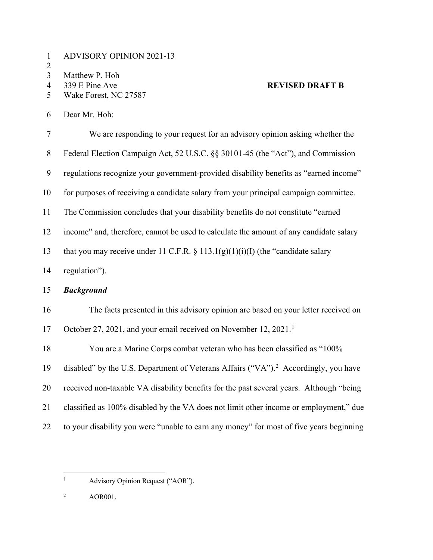|  |  |  | <b>ADVISORY OPINION 2021-13</b> |  |
|--|--|--|---------------------------------|--|
|--|--|--|---------------------------------|--|

- $\frac{2}{3}$
- Matthew P. Hoh
- 
- 4 339 E Pine Ave **REVISED DRAFT B**  Wake Forest, NC 27587

6 Dear Mr. Hoh:

| $\overline{7}$ | We are responding to your request for an advisory opinion asking whether the                    |
|----------------|-------------------------------------------------------------------------------------------------|
| $8\,$          | Federal Election Campaign Act, 52 U.S.C. §§ 30101-45 (the "Act"), and Commission                |
| 9              | regulations recognize your government-provided disability benefits as "earned income"           |
| 10             | for purposes of receiving a candidate salary from your principal campaign committee.            |
| 11             | The Commission concludes that your disability benefits do not constitute "earned                |
| 12             | income" and, therefore, cannot be used to calculate the amount of any candidate salary          |
| 13             | that you may receive under 11 C.F.R. § 113.1(g)(1)(i)(I) (the "candidate salary                 |
| 14             | regulation").                                                                                   |
| 15             | <b>Background</b>                                                                               |
| 16             | The facts presented in this advisory opinion are based on your letter received on               |
| 17             | October 27, 2021, and your email received on November 12, 2021. <sup>1</sup>                    |
| 18             | You are a Marine Corps combat veteran who has been classified as "100%                          |
| 19             | disabled" by the U.S. Department of Veterans Affairs ("VA"). <sup>2</sup> Accordingly, you have |
| 20             | received non-taxable VA disability benefits for the past several years. Although "being         |
| 21             | classified as 100% disabled by the VA does not limit other income or employment," due           |
| 22             | to your disability you were "unable to earn any money" for most of five years beginning         |

<span id="page-1-0"></span><sup>&</sup>lt;sup>1</sup> Advisory Opinion Request ("AOR").

<span id="page-1-1"></span><sup>2</sup> AOR001.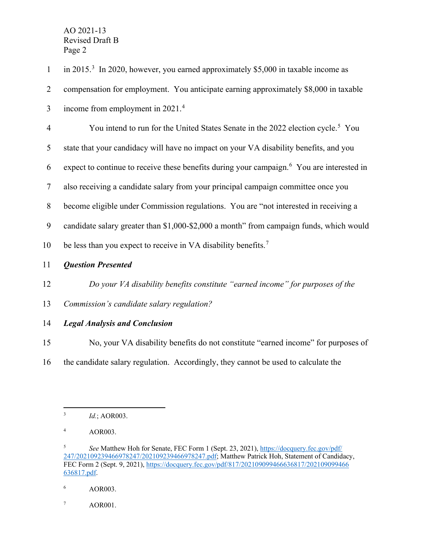| $\mathbf{1}$   | in 2015. <sup>3</sup> In 2020, however, you earned approximately \$5,000 in taxable income as         |
|----------------|-------------------------------------------------------------------------------------------------------|
| $\overline{2}$ | compensation for employment. You anticipate earning approximately \$8,000 in taxable                  |
| 3              | income from employment in 2021. <sup>4</sup>                                                          |
| $\overline{4}$ | You intend to run for the United States Senate in the 2022 election cycle. <sup>5</sup> You           |
| 5              | state that your candidacy will have no impact on your VA disability benefits, and you                 |
| 6              | expect to continue to receive these benefits during your campaign. <sup>6</sup> You are interested in |
| $\tau$         | also receiving a candidate salary from your principal campaign committee once you                     |
| $8\,$          | become eligible under Commission regulations. You are "not interested in receiving a                  |
| 9              | candidate salary greater than \$1,000-\$2,000 a month" from campaign funds, which would               |
| 10             | be less than you expect to receive in VA disability benefits. <sup>7</sup>                            |
| 11             | <b>Question Presented</b>                                                                             |
| 12             | Do your VA disability benefits constitute "earned income" for purposes of the                         |
| 13             | Commission's candidate salary regulation?                                                             |
| 14             | <b>Legal Analysis and Conclusion</b>                                                                  |
| 15             | No, your VA disability benefits do not constitute "earned income" for purposes of                     |
| 16             | the candidate salary regulation. Accordingly, they cannot be used to calculate the                    |

<span id="page-2-0"></span><sup>3</sup> *Id.*; AOR003.

<span id="page-2-1"></span><sup>4</sup> AOR003.

<span id="page-2-2"></span><sup>&</sup>lt;sup>5</sup> *See* Matthew Hoh for Senate, FEC Form 1 (Sept. 23, 2021), [https://docquery.fec.gov/pdf/](https://docquery.fec.gov/pdf/%E2%80%8C247/202109239466978247/202109239466978247.pdf) [247/202109239466978247/202109239466978247.pdf;](https://docquery.fec.gov/pdf/%E2%80%8C247/202109239466978247/202109239466978247.pdf) Matthew Patrick Hoh, Statement of Candidacy, FEC Form 2 (Sept. 9, 2021), [https://docquery.fec.gov/pdf/817/202109099466636817/202109099466](https://docquery.fec.gov/pdf/817/202109099466636817/202109099466636817.pdf) [636817.pdf.](https://docquery.fec.gov/pdf/817/202109099466636817/202109099466636817.pdf)

<span id="page-2-3"></span><sup>6</sup> AOR003.

<span id="page-2-4"></span><sup>7</sup> AOR001.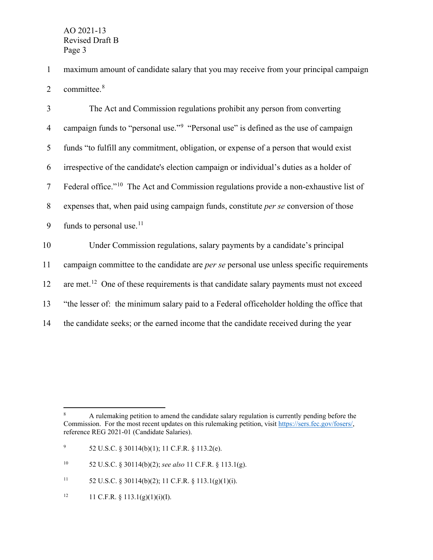1 maximum amount of candidate salary that you may receive from your principal campaign 2 committee.<sup>[8](#page-3-0)</sup>

| 3              | The Act and Commission regulations prohibit any person from converting                             |
|----------------|----------------------------------------------------------------------------------------------------|
| $\overline{4}$ | campaign funds to "personal use." <sup>9</sup> "Personal use" is defined as the use of campaign    |
| 5              | funds "to fulfill any commitment, obligation, or expense of a person that would exist              |
| 6              | irrespective of the candidate's election campaign or individual's duties as a holder of            |
| $\tau$         | Federal office." <sup>10</sup> The Act and Commission regulations provide a non-exhaustive list of |
| 8              | expenses that, when paid using campaign funds, constitute <i>per se</i> conversion of those        |
| 9              | funds to personal use. <sup>11</sup>                                                               |
| 10             | Under Commission regulations, salary payments by a candidate's principal                           |
| 11             | campaign committee to the candidate are <i>per se</i> personal use unless specific requirements    |
| 12             | are met. <sup>12</sup> One of these requirements is that candidate salary payments must not exceed |
| 13             | "the lesser of: the minimum salary paid to a Federal officeholder holding the office that          |
| 14             | the candidate seeks; or the earned income that the candidate received during the year              |

<span id="page-3-0"></span><sup>8</sup> A rulemaking petition to amend the candidate salary regulation is currently pending before the Commission. For the most recent updates on this rulemaking petition, visit [https://sers.fec.gov/fosers/,](https://sers.fec.gov/fosers/) reference REG 2021-01 (Candidate Salaries).

<span id="page-3-1"></span><sup>9</sup> 52 U.S.C. § 30114(b)(1); 11 C.F.R. § 113.2(e).

<span id="page-3-2"></span><sup>10</sup> 52 U.S.C. § 30114(b)(2); *see also* 11 C.F.R. § 113.1(g).

<span id="page-3-3"></span><sup>11 52</sup> U.S.C. § 30114(b)(2); 11 C.F.R. § 113.1(g)(1)(i).

<span id="page-3-4"></span><sup>&</sup>lt;sup>12</sup> 11 C.F.R. § 113.1(g)(1)(i)(I).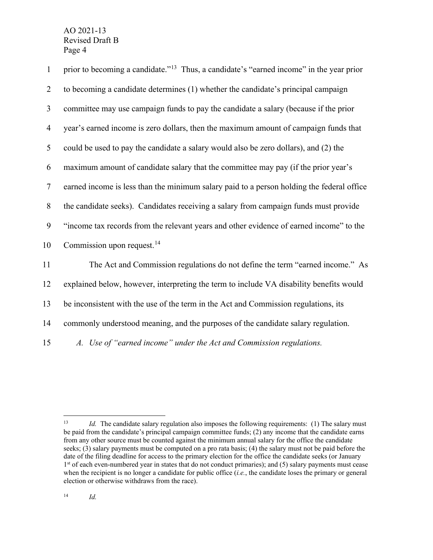| $\mathbf{1}$   | prior to becoming a candidate." <sup>13</sup> Thus, a candidate's "earned income" in the year prior |
|----------------|-----------------------------------------------------------------------------------------------------|
| $\overline{2}$ | to becoming a candidate determines (1) whether the candidate's principal campaign                   |
| $\mathfrak{Z}$ | committee may use campaign funds to pay the candidate a salary (because if the prior                |
| $\overline{4}$ | year's earned income is zero dollars, then the maximum amount of campaign funds that                |
| 5              | could be used to pay the candidate a salary would also be zero dollars), and (2) the                |
| 6              | maximum amount of candidate salary that the committee may pay (if the prior year's                  |
| $\tau$         | earned income is less than the minimum salary paid to a person holding the federal office           |
| 8              | the candidate seeks). Candidates receiving a salary from campaign funds must provide                |
| 9              | "income tax records from the relevant years and other evidence of earned income" to the             |
| 10             | Commission upon request. <sup>14</sup>                                                              |
| 11             | The Act and Commission regulations do not define the term "earned income." As                       |
| 12             | explained below, however, interpreting the term to include VA disability benefits would             |
| 13             | be inconsistent with the use of the term in the Act and Commission regulations, its                 |
| 14             | commonly understood meaning, and the purposes of the candidate salary regulation.                   |
| 15             | A. Use of "earned income" under the Act and Commission regulations.                                 |

<span id="page-4-1"></span><span id="page-4-0"></span><sup>&</sup>lt;sup>13</sup> *Id.* The candidate salary regulation also imposes the following requirements: (1) The salary must be paid from the candidate's principal campaign committee funds; (2) any income that the candidate earns from any other source must be counted against the minimum annual salary for the office the candidate seeks; (3) salary payments must be computed on a pro rata basis; (4) the salary must not be paid before the date of the filing deadline for access to the primary election for the office the candidate seeks (or January 1<sup>st</sup> of each even-numbered year in states that do not conduct primaries); and (5) salary payments must cease when the recipient is no longer a candidate for public office (*i.e.*, the candidate loses the primary or general election or otherwise withdraws from the race).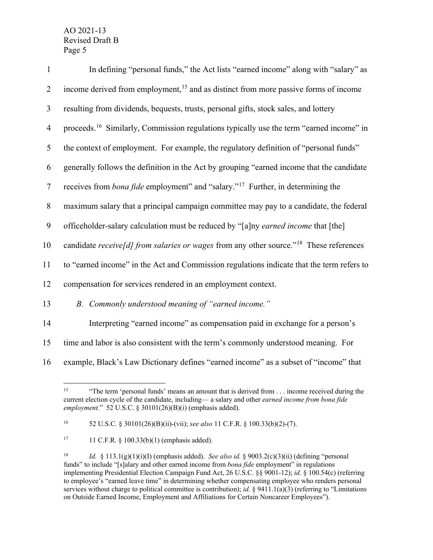| $\mathbf{1}$   | In defining "personal funds," the Act lists "earned income" along with "salary" as                  |
|----------------|-----------------------------------------------------------------------------------------------------|
| $\overline{2}$ | income derived from employment, <sup>15</sup> and as distinct from more passive forms of income     |
| $\mathfrak{Z}$ | resulting from dividends, bequests, trusts, personal gifts, stock sales, and lottery                |
| $\overline{4}$ | proceeds. <sup>16</sup> Similarly, Commission regulations typically use the term "earned income" in |
| 5              | the context of employment. For example, the regulatory definition of "personal funds"               |
| 6              | generally follows the definition in the Act by grouping "earned income that the candidate           |
| $\tau$         | receives from <i>bona fide</i> employment" and "salary." <sup>17</sup> Further, in determining the  |
| $8\,$          | maximum salary that a principal campaign committee may pay to a candidate, the federal              |
| 9              | officeholder-salary calculation must be reduced by "[a]ny earned income that [the]                  |
| 10             | candidate receive[d] from salaries or wages from any other source." <sup>18</sup> These references  |
| 11             | to "earned income" in the Act and Commission regulations indicate that the term refers to           |
| 12             | compensation for services rendered in an employment context.                                        |
| 13             | B. Commonly understood meaning of "earned income."                                                  |
| 14             | Interpreting "earned income" as compensation paid in exchange for a person's                        |
| 15             | time and labor is also consistent with the term's commonly understood meaning. For                  |
|                |                                                                                                     |

<span id="page-5-0"></span>16 example, Black's Law Dictionary defines "earned income" as a subset of "income" that

<sup>&</sup>lt;sup>15</sup> "The term 'personal funds' means an amount that is derived from . . . income received during the current election cycle of the candidate, including— a salary and other *earned income from bona fide employment.*" 52 U.S.C. § 30101(26)(B)(i) (emphasis added).

<span id="page-5-1"></span><sup>16</sup> 52 U.S.C. § 30101(26)(B)(ii)-(vii); *see also* 11 C.F.R. § 100.33(b)(2)-(7).

<span id="page-5-2"></span><sup>&</sup>lt;sup>17</sup> 11 C.F.R. § 100.33(b)(1) (emphasis added).

<span id="page-5-3"></span><sup>18</sup> *Id.* § 113.1(g)(1)(i)(I) (emphasis added). *See also id.* § 9003.2(c)(3)(ii) (defining "personal funds" to include "[s]alary and other earned income from *bona fide* employment" in regulations implementing Presidential Election Campaign Fund Act, 26 U.S.C. §§ 9001-12); *id.* § 100.54(c) (referring to employee's "earned leave time" in determining whether compensating employee who renders personal services without charge to political committee is contribution); *id.* § 9411.1(a)(3) (referring to "Limitations" on Outside Earned Income, Employment and Affiliations for Certain Noncareer Employees").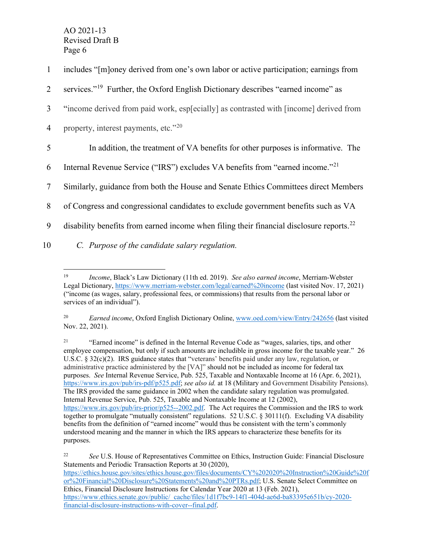| 1              | includes "[m]oney derived from one's own labor or active participation; earnings from                |
|----------------|------------------------------------------------------------------------------------------------------|
| 2              | services." <sup>19</sup> Further, the Oxford English Dictionary describes "earned income" as         |
| 3              | "income derived from paid work, esp[ecially] as contrasted with [income] derived from                |
| $\overline{4}$ | property, interest payments, etc."20                                                                 |
| 5              | In addition, the treatment of VA benefits for other purposes is informative. The                     |
| 6              | Internal Revenue Service ("IRS") excludes VA benefits from "earned income." <sup>21</sup>            |
| 7              | Similarly, guidance from both the House and Senate Ethics Committees direct Members                  |
| 8              | of Congress and congressional candidates to exclude government benefits such as VA                   |
| 9              | disability benefits from earned income when filing their financial disclosure reports. <sup>22</sup> |
| 10             | C. Purpose of the candidate salary regulation.                                                       |

<span id="page-6-0"></span><sup>19</sup> *Income*, Black's Law Dictionary (11th ed. 2019). *See also earned income*, Merriam-Webster Legal Dictionary,<https://www.merriam-webster.com/legal/earned%20income> (last visited Nov. 17, 2021) ("income (as wages, salary, professional fees, or commissions) that results from the personal labor or services of an individual").

<span id="page-6-2"></span><sup>21</sup> "Earned income" is defined in the Internal Revenue Code as "wages, salaries, tips, and other employee compensation, but only if such amounts are includible in gross income for the taxable year." 26 U.S.C. § 32(c)(2). IRS guidance states that "veterans' benefits paid under any law, regulation, or administrative practice administered by the [VA]" should not be included as income for federal tax purposes. *See* Internal Revenue Service, Pub. 525, Taxable and Nontaxable Income at 16 (Apr. 6, 2021), [https://www.irs.gov/pub/irs-pdf/p525.pdf;](https://www.irs.gov/pub/irs-pdf/p525.pdf) *see also id.* at 18 (Military and Government Disability Pensions). The IRS provided the same guidance in 2002 when the candidate salary regulation was promulgated. Internal Revenue Service, Pub. 525, Taxable and Nontaxable Income at 12 (2002), [https://www.irs.gov/pub/irs-prior/p525--2002.pdf.](https://www.irs.gov/pub/irs-prior/p525--2002.pdf) The Act requires the Commission and the IRS to work together to promulgate "mutually consistent" regulations. 52 U.S.C. § 30111(f). Excluding VA disability benefits from the definition of "earned income" would thus be consistent with the term's commonly understood meaning and the manner in which the IRS appears to characterize these benefits for its purposes.

<span id="page-6-1"></span><sup>&</sup>lt;sup>20</sup> *Earned income*, Oxford English Dictionary Online[, www.oed.com/view/Entry/242656](http://www.oed.com/view/Entry/242656) (last visited Nov. 22, 2021).

<span id="page-6-3"></span><sup>22</sup> *See* U.S. House of Representatives Committee on Ethics, Instruction Guide: Financial Disclosure Statements and Periodic Transaction Reports at 30 (2020), [https://ethics.house.gov/sites/ethics.house.gov/files/documents/CY%202020%20Instruction%20Guide%20f](https://ethics.house.gov/sites/ethics.house.gov/files/%E2%80%8Cdocuments/CY%202020%20Instruction%20Guide%20for%20Financial%20Disclosure%20%E2%80%8CStatements%20and%20PTRs.pdf) [or%20Financial%20Disclosure%20Statements%20and%20PTRs.pdf;](https://ethics.house.gov/sites/ethics.house.gov/files/%E2%80%8Cdocuments/CY%202020%20Instruction%20Guide%20for%20Financial%20Disclosure%20%E2%80%8CStatements%20and%20PTRs.pdf) U.S. Senate Select Committee on Ethics, Financial Disclosure Instructions for Calendar Year 2020 at 13 (Feb. 2021), [https://www.ethics.senate.gov/public/\\_cache/files/1d1f7bc9-14f1-404d-ae6d-ba83395e651b/cy-2020](https://www.ethics.senate.gov/public/_cache/files/1d1f7bc9-14f1-404d-ae6d-ba83395e651b/cy-2020-financial-disclosure-instructions-with-cover--final.pdf) [financial-disclosure-instructions-with-cover--final.pdf.](https://www.ethics.senate.gov/public/_cache/files/1d1f7bc9-14f1-404d-ae6d-ba83395e651b/cy-2020-financial-disclosure-instructions-with-cover--final.pdf)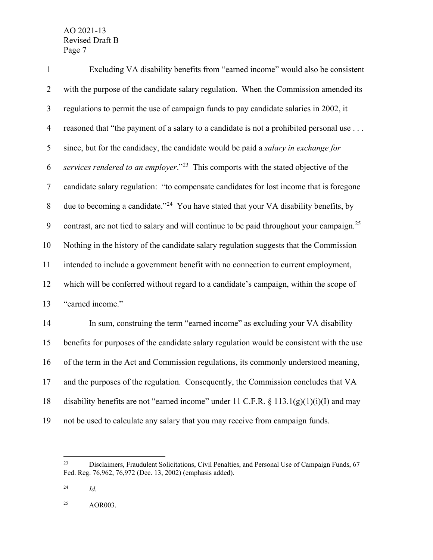| $\mathbf{1}$   | Excluding VA disability benefits from "earned income" would also be consistent                        |
|----------------|-------------------------------------------------------------------------------------------------------|
| $\overline{2}$ | with the purpose of the candidate salary regulation. When the Commission amended its                  |
| $\mathfrak{Z}$ | regulations to permit the use of campaign funds to pay candidate salaries in 2002, it                 |
| $\overline{4}$ | reasoned that "the payment of a salary to a candidate is not a prohibited personal use                |
| 5              | since, but for the candidacy, the candidate would be paid a salary in exchange for                    |
| 6              | services rendered to an employer." <sup>23</sup> This comports with the stated objective of the       |
| $\tau$         | candidate salary regulation: "to compensate candidates for lost income that is foregone               |
| $8\,$          | due to becoming a candidate." <sup>24</sup> You have stated that your VA disability benefits, by      |
| 9              | contrast, are not tied to salary and will continue to be paid throughout your campaign. <sup>25</sup> |
| 10             | Nothing in the history of the candidate salary regulation suggests that the Commission                |
| 11             | intended to include a government benefit with no connection to current employment,                    |
| 12             | which will be conferred without regard to a candidate's campaign, within the scope of                 |
| 13             | "earned income."                                                                                      |
| 14             | In sum, construing the term "earned income" as excluding your VA disability                           |
| 15             | benefits for purposes of the candidate salary regulation would be consistent with the use             |
| 16             | of the term in the Act and Commission regulations, its commonly understood meaning,                   |
| 17             | and the purposes of the regulation. Consequently, the Commission concludes that VA                    |
| 18             | disability benefits are not "earned income" under 11 C.F.R. § 113.1(g)(1)(i)(I) and may               |
| 19             | not be used to calculate any salary that you may receive from campaign funds.                         |

<span id="page-7-0"></span> Disclaimers, Fraudulent Solicitations, Civil Penalties, and Personal Use of Campaign Funds, 67 Fed. Reg. 76,962, 76,972 (Dec. 13, 2002) (emphasis added).

<span id="page-7-1"></span>*Id.*

<span id="page-7-2"></span>AOR003.